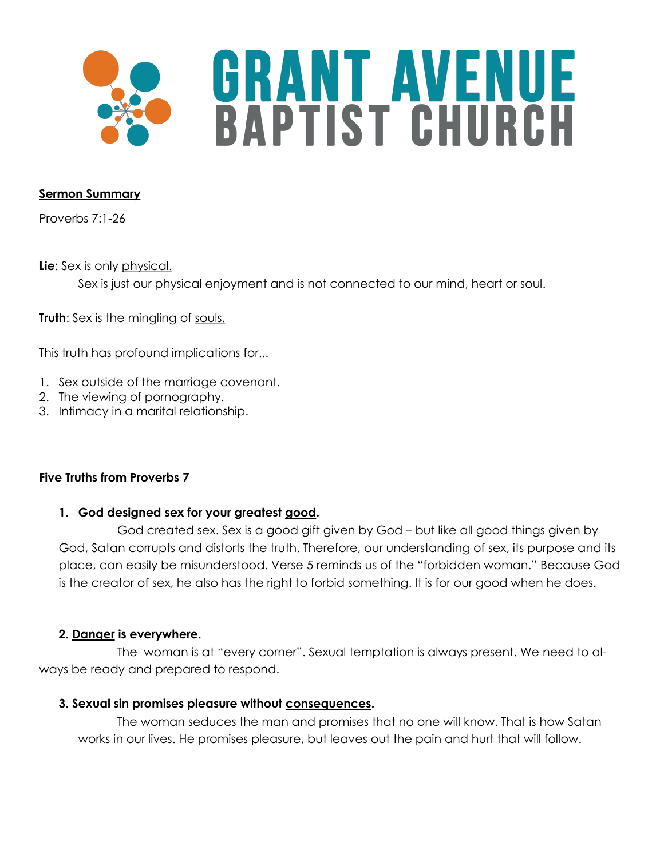

### **Sermon Summary**

Proverbs 7:1-26

**Lie**: Sex is only physical. Sex is just our physical enjoyment and is not connected to our mind, heart or soul.

**Truth:** Sex is the mingling of souls.

This truth has profound implications for...

- 1. Sex outside of the marriage covenant.
- 2. The viewing of pornography.
- 3. Intimacy in a marital relationship.

# **Five Truths from Proverbs 7**

# **1. God designed sex for your greatest good.**

God created sex. Sex is a good gift given by God – but like all good things given by God, Satan corrupts and distorts the truth. Therefore, our understanding of sex, its purpose and its place, can easily be misunderstood. Verse 5 reminds us of the "forbidden woman." Because God is the creator of sex, he also has the right to forbid something. It is for our good when he does.

# **2. Danger is everywhere.**

The woman is at "every corner". Sexual temptation is always present. We need to always be ready and prepared to respond.

### **3. Sexual sin promises pleasure without consequences.**

The woman seduces the man and promises that no one will know. That is how Satan works in our lives. He promises pleasure, but leaves out the pain and hurt that will follow.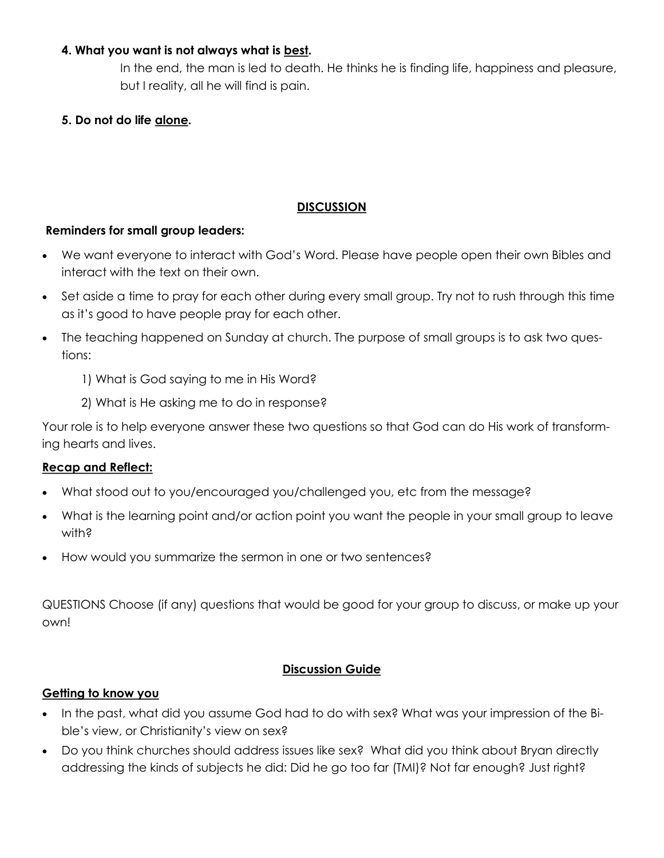### **4. What you want is not always what is best.**

In the end, the man is led to death. He thinks he is finding life, happiness and pleasure, but I reality, all he will find is pain.

**5. Do not do life alone.** 

## **DISCUSSION**

#### **Reminders for small group leaders:**

- We want everyone to interact with God's Word. Please have people open their own Bibles and interact with the text on their own.
- Set aside a time to pray for each other during every small group. Try not to rush through this time as it's good to have people pray for each other.
- The teaching happened on Sunday at church. The purpose of small groups is to ask two questions:
	- 1) What is God saying to me in His Word?
	- 2) What is He asking me to do in response?

Your role is to help everyone answer these two questions so that God can do His work of transforming hearts and lives.

### **Recap and Reflect:**

- What stood out to you/encouraged you/challenged you, etc from the message?
- What is the learning point and/or action point you want the people in your small group to leave with?
- How would you summarize the sermon in one or two sentences?

QUESTIONS Choose (if any) questions that would be good for your group to discuss, or make up your own!

### **Discussion Guide**

#### **Getting to know you**

- In the past, what did you assume God had to do with sex? What was your impression of the Bible's view, or Christianity's view on sex?
- Do you think churches should address issues like sex? What did you think about Bryan directly addressing the kinds of subjects he did: Did he go too far (TMI)? Not far enough? Just right?